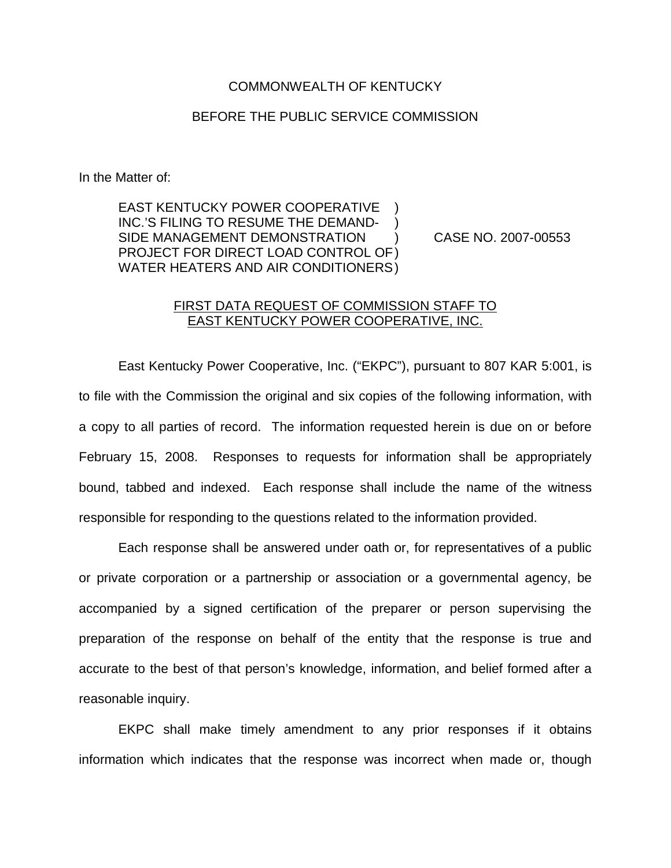## COMMONWEALTH OF KENTUCKY

## BEFORE THE PUBLIC SERVICE COMMISSION

In the Matter of:

EAST KENTUCKY POWER COOPERATIVE INC.'S FILING TO RESUME THE DEMAND-SIDE MANAGEMENT DEMONSTRATION ) CASE NO. 2007-00553 PROJECT FOR DIRECT LOAD CONTROL OF) WATER HEATERS AND AIR CONDITIONERS)

## FIRST DATA REQUEST OF COMMISSION STAFF TO EAST KENTUCKY POWER COOPERATIVE, INC.

East Kentucky Power Cooperative, Inc. ("EKPC"), pursuant to 807 KAR 5:001, is to file with the Commission the original and six copies of the following information, with a copy to all parties of record. The information requested herein is due on or before February 15, 2008. Responses to requests for information shall be appropriately bound, tabbed and indexed. Each response shall include the name of the witness responsible for responding to the questions related to the information provided.

Each response shall be answered under oath or, for representatives of a public or private corporation or a partnership or association or a governmental agency, be accompanied by a signed certification of the preparer or person supervising the preparation of the response on behalf of the entity that the response is true and accurate to the best of that person's knowledge, information, and belief formed after a reasonable inquiry.

EKPC shall make timely amendment to any prior responses if it obtains information which indicates that the response was incorrect when made or, though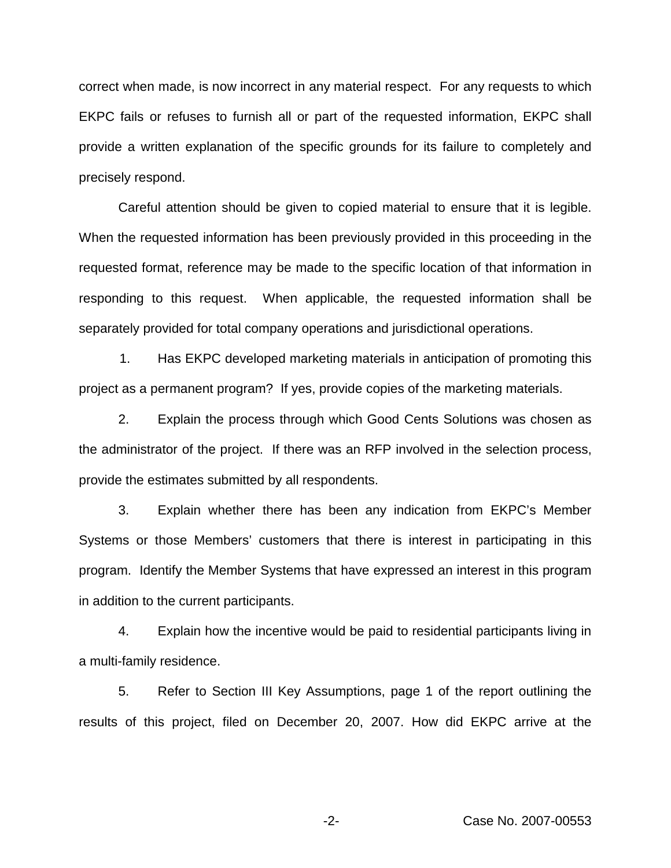correct when made, is now incorrect in any material respect. For any requests to which EKPC fails or refuses to furnish all or part of the requested information, EKPC shall provide a written explanation of the specific grounds for its failure to completely and precisely respond.

Careful attention should be given to copied material to ensure that it is legible. When the requested information has been previously provided in this proceeding in the requested format, reference may be made to the specific location of that information in responding to this request. When applicable, the requested information shall be separately provided for total company operations and jurisdictional operations.

1. Has EKPC developed marketing materials in anticipation of promoting this project as a permanent program? If yes, provide copies of the marketing materials.

2. Explain the process through which Good Cents Solutions was chosen as the administrator of the project. If there was an RFP involved in the selection process, provide the estimates submitted by all respondents.

3. Explain whether there has been any indication from EKPC's Member Systems or those Members' customers that there is interest in participating in this program. Identify the Member Systems that have expressed an interest in this program in addition to the current participants.

4. Explain how the incentive would be paid to residential participants living in a multi-family residence.

5. Refer to Section III Key Assumptions, page 1 of the report outlining the results of this project, filed on December 20, 2007. How did EKPC arrive at the

-2- Case No. 2007-00553